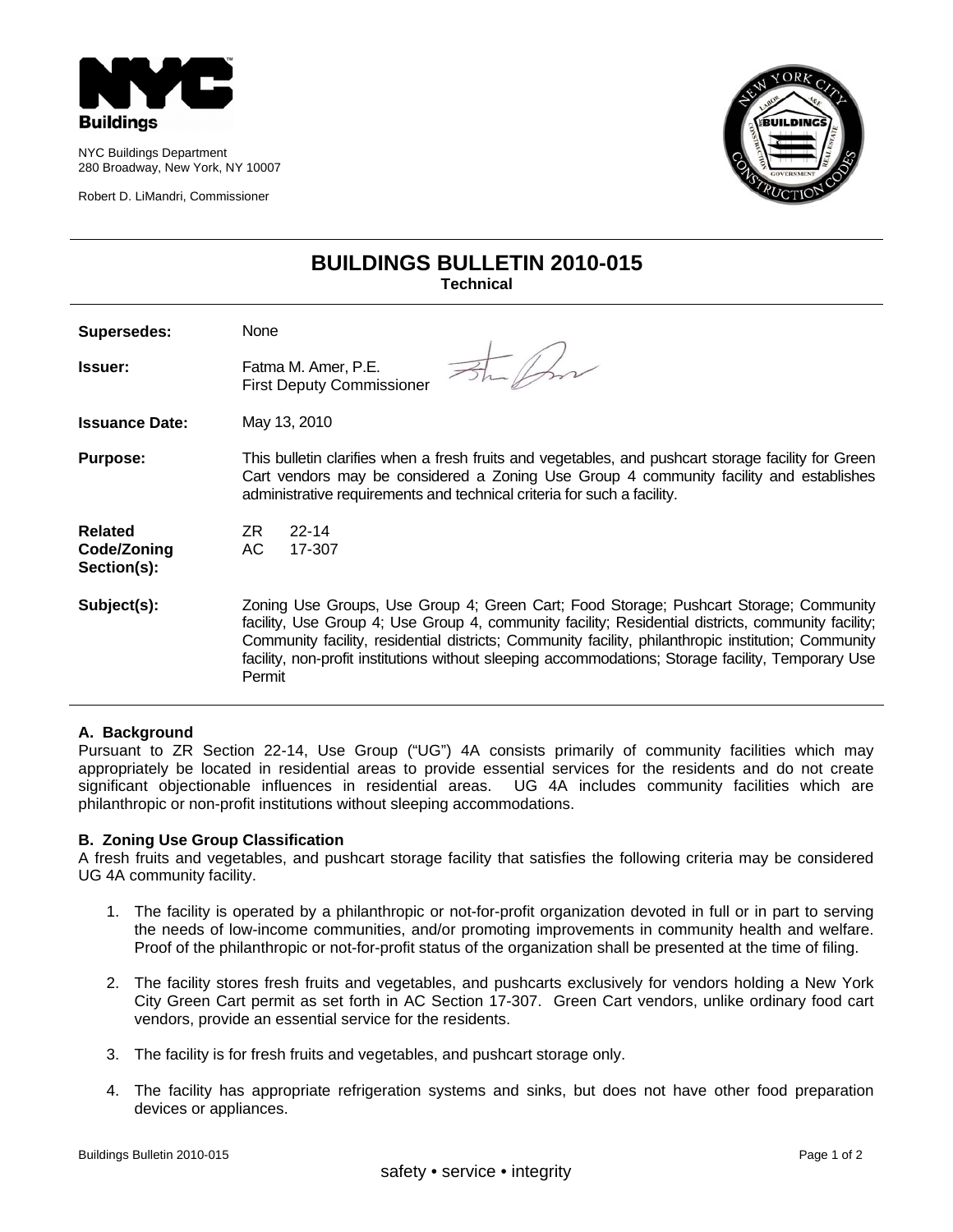

NYC Buildings Department 280 Broadway, New York, NY 10007

Robert D. LiMandri, Commissioner



# **BUILDINGS BULLETIN 2010-015 Technical**

| Supersedes:                                  | None                                                                                                                                                                                                                                                                                                                                                                                                               |
|----------------------------------------------|--------------------------------------------------------------------------------------------------------------------------------------------------------------------------------------------------------------------------------------------------------------------------------------------------------------------------------------------------------------------------------------------------------------------|
| <b>Issuer:</b>                               | Fatma M. Amer, P.E.<br><b>First Deputy Commissioner</b>                                                                                                                                                                                                                                                                                                                                                            |
| <b>Issuance Date:</b>                        | May 13, 2010                                                                                                                                                                                                                                                                                                                                                                                                       |
| <b>Purpose:</b>                              | This bulletin clarifies when a fresh fruits and vegetables, and pushcart storage facility for Green<br>Cart vendors may be considered a Zoning Use Group 4 community facility and establishes<br>administrative requirements and technical criteria for such a facility.                                                                                                                                           |
| <b>Related</b><br>Code/Zoning<br>Section(s): | ZR.<br>$22 - 14$<br>AC.<br>17-307                                                                                                                                                                                                                                                                                                                                                                                  |
| Subject(s):                                  | Zoning Use Groups, Use Group 4; Green Cart; Food Storage; Pushcart Storage; Community<br>facility, Use Group 4; Use Group 4, community facility; Residential districts, community facility;<br>Community facility, residential districts; Community facility, philanthropic institution; Community<br>facility, non-profit institutions without sleeping accommodations; Storage facility, Temporary Use<br>Permit |

#### **A. Background**

Pursuant to ZR Section 22-14, Use Group ("UG") 4A consists primarily of community facilities which may appropriately be located in residential areas to provide essential services for the residents and do not create significant objectionable influences in residential areas. UG 4A includes community facilities which are philanthropic or non-profit institutions without sleeping accommodations.

# **B. Zoning Use Group Classification**

A fresh fruits and vegetables, and pushcart storage facility that satisfies the following criteria may be considered UG 4A community facility.

- 1. The facility is operated by a philanthropic or not-for-profit organization devoted in full or in part to serving the needs of low-income communities, and/or promoting improvements in community health and welfare. Proof of the philanthropic or not-for-profit status of the organization shall be presented at the time of filing.
- 2. The facility stores fresh fruits and vegetables, and pushcarts exclusively for vendors holding a New York City Green Cart permit as set forth in AC Section 17-307. Green Cart vendors, unlike ordinary food cart vendors, provide an essential service for the residents.
- 3. The facility is for fresh fruits and vegetables, and pushcart storage only.
- 4. The facility has appropriate refrigeration systems and sinks, but does not have other food preparation devices or appliances.